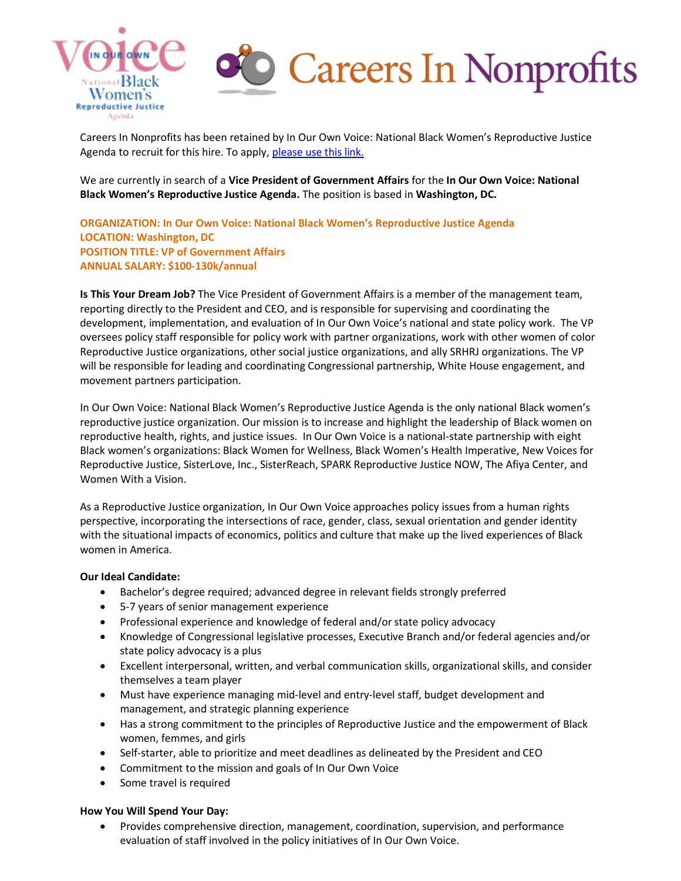

# Careers In Nonprofits

Careers In Nonprofits has been retained by In Our Own Voice: National Black Women's Reproductive Justice Agenda to recruit for this hire. To apply, [please use this link.](https://loxo.co/job/6199unfxtp2vl5ah?t=1655475657884)

We are currently in search of a **Vice President of Government Affairs** for the **In Our Own Voice: National Black Women's Reproductive Justice Agenda.** The position is based in **Washington, DC.** 

**ORGANIZATION: In Our Own Voice: National Black Women's Reproductive Justice Agenda LOCATION: Washington, DC POSITION TITLE: VP of Government Affairs ANNUAL SALARY: \$100-130k/annual**

**Is This Your Dream Job?** The Vice President of Government Affairs is a member of the management team, reporting directly to the President and CEO, and is responsible for supervising and coordinating the development, implementation, and evaluation of In Our Own Voice's national and state policy work. The VP oversees policy staff responsible for policy work with partner organizations, work with other women of color Reproductive Justice organizations, other social justice organizations, and ally SRHRJ organizations. The VP will be responsible for leading and coordinating Congressional partnership, White House engagement, and movement partners participation.

In Our Own Voice: National Black Women's Reproductive Justice Agenda is the only national Black women's reproductive justice organization. Our mission is to increase and highlight the leadership of Black women on reproductive health, rights, and justice issues. In Our Own Voice is a national-state partnership with eight Black women's organizations: Black Women for Wellness, Black Women's Health Imperative, New Voices for Reproductive Justice, SisterLove, Inc., SisterReach, SPARK Reproductive Justice NOW, The Afiya Center, and Women With a Vision.

As a Reproductive Justice organization, In Our Own Voice approaches policy issues from a human rights perspective, incorporating the intersections of race, gender, class, sexual orientation and gender identity with the situational impacts of economics, politics and culture that make up the lived experiences of Black women in America.

### **Our Ideal Candidate:**

- Bachelor's degree required; advanced degree in relevant fields strongly preferred
- 5-7 years of senior management experience
- Professional experience and knowledge of federal and/or state policy advocacy
- Knowledge of Congressional legislative processes, Executive Branch and/or federal agencies and/or state policy advocacy is a plus
- Excellent interpersonal, written, and verbal communication skills, organizational skills, and consider themselves a team player
- Must have experience managing mid-level and entry-level staff, budget development and management, and strategic planning experience
- Has a strong commitment to the principles of Reproductive Justice and the empowerment of Black women, femmes, and girls
- Self-starter, able to prioritize and meet deadlines as delineated by the President and CEO
- Commitment to the mission and goals of In Our Own Voice
- Some travel is required

### **How You Will Spend Your Day:**

• Provides comprehensive direction, management, coordination, supervision, and performance evaluation of staff involved in the policy initiatives of In Our Own Voice.